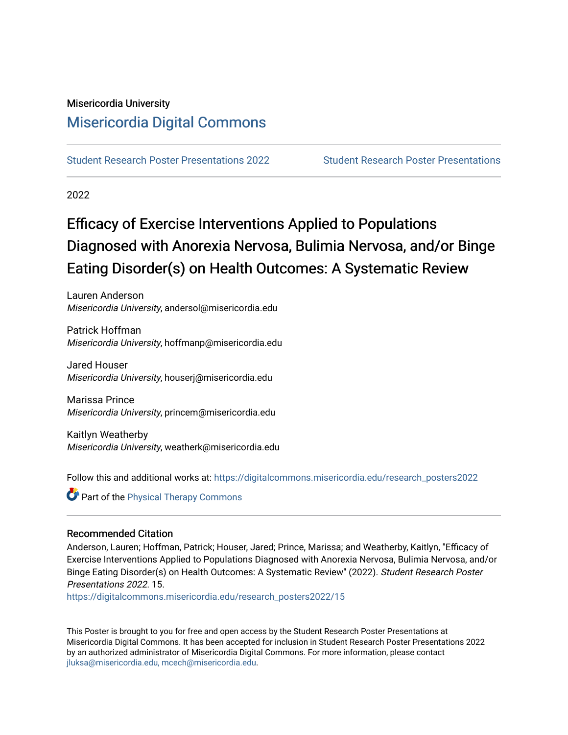## Misericordia University [Misericordia Digital Commons](https://digitalcommons.misericordia.edu/)

[Student Research Poster Presentations 2022](https://digitalcommons.misericordia.edu/research_posters2022) [Student Research Poster Presentations](https://digitalcommons.misericordia.edu/student_posters) 

2022

## Efficacy of Exercise Interventions Applied to Populations Diagnosed with Anorexia Nervosa, Bulimia Nervosa, and/or Binge Eating Disorder(s) on Health Outcomes: A Systematic Review

Lauren Anderson Misericordia University, andersol@misericordia.edu

Patrick Hoffman Misericordia University, hoffmanp@misericordia.edu

Jared Houser Misericordia University, houserj@misericordia.edu

Marissa Prince Misericordia University, princem@misericordia.edu

Kaitlyn Weatherby Misericordia University, weatherk@misericordia.edu

Follow this and additional works at: [https://digitalcommons.misericordia.edu/research\\_posters2022](https://digitalcommons.misericordia.edu/research_posters2022?utm_source=digitalcommons.misericordia.edu%2Fresearch_posters2022%2F15&utm_medium=PDF&utm_campaign=PDFCoverPages)

**Part of the [Physical Therapy Commons](http://network.bepress.com/hgg/discipline/754?utm_source=digitalcommons.misericordia.edu%2Fresearch_posters2022%2F15&utm_medium=PDF&utm_campaign=PDFCoverPages)** 

### Recommended Citation

Anderson, Lauren; Hoffman, Patrick; Houser, Jared; Prince, Marissa; and Weatherby, Kaitlyn, "Efficacy of Exercise Interventions Applied to Populations Diagnosed with Anorexia Nervosa, Bulimia Nervosa, and/or Binge Eating Disorder(s) on Health Outcomes: A Systematic Review" (2022). Student Research Poster Presentations 2022. 15.

[https://digitalcommons.misericordia.edu/research\\_posters2022/15](https://digitalcommons.misericordia.edu/research_posters2022/15?utm_source=digitalcommons.misericordia.edu%2Fresearch_posters2022%2F15&utm_medium=PDF&utm_campaign=PDFCoverPages) 

This Poster is brought to you for free and open access by the Student Research Poster Presentations at Misericordia Digital Commons. It has been accepted for inclusion in Student Research Poster Presentations 2022 by an authorized administrator of Misericordia Digital Commons. For more information, please contact [jluksa@misericordia.edu, mcech@misericordia.edu](mailto:jluksa@misericordia.edu,%20mcech@misericordia.edu).